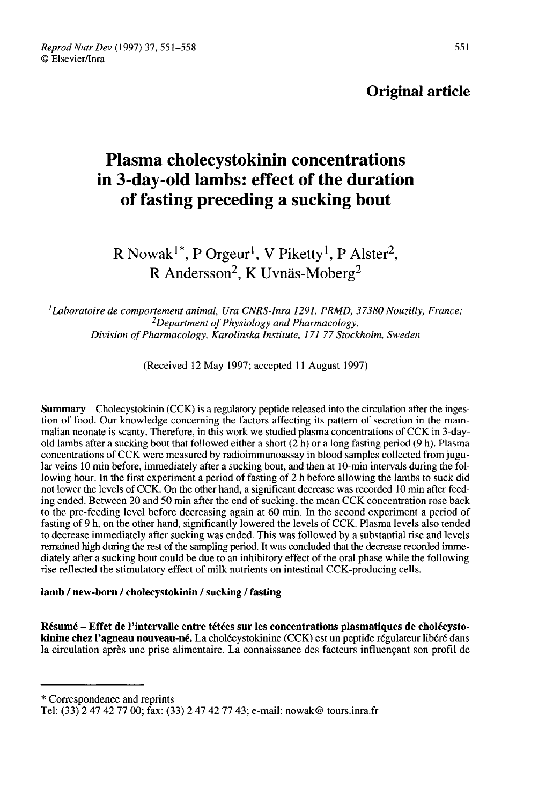# Original article

# Plasma cholecystokinin concentrations in 3-day-old lambs: effect of the duration of fasting preceding a sucking bout

R Nowak<sup>1\*</sup>, P Orgeur<sup>1</sup>, V Piketty<sup>1</sup>, P Alster<sup>2</sup>, R Andersson<sup>2</sup>, K Uvnäs-Moberg<sup>2</sup>

 $<sup>1</sup>$ Laboratoire de comportement animal, Ura CNRS-Inra 1291, PRMD, 37380 Nouzilly, France;</sup>  $2$ Department of Physiology and Pharmacology, Division of Pharmacology, Karolinska Institute, 171 77 Stockholm, Sweden

(Received 12 May 1997; accepted 11 August 1997)

Summary – Cholecystokinin (CCK) is a regulatory peptide released into the circulation after the ingestion of food. Our knowledge concerning the factors affecting its pattern of secretion in the mammalian neonate is scanty. Therefore, in this work we studied plasma concentrations of CCK in 3-dayold lambs after a sucking bout that followed either a short  $(2 h)$  or a long fasting period  $(9 h)$ . Plasma concentrations of CCK were measured by radioimmunoassay in blood samples collected from jugular veins 10 min before, immediately after a sucking bout, and then at 10-min intervals during the following hour. In the first experiment a period of fasting of 2 h before allowing the lambs to suck did not lower the levels of CCK. On the other hand, a significant decrease was recorded 10 min after feeding ended. Between 20 and 50 min after the end of sucking, the mean CCK concentration rose back to the pre-feeding level before decreasing again at 60 min. In the second experiment a period of fasting of 9 h, on the other hand, significantly lowered the levels of CCK. Plasma levels also tended to decrease immediately after sucking was ended. This was followed by a substantial rise and levels remained high during the rest of the sampling period. It was concluded that the decrease recorded immediately after a sucking bout could be due to an inhibitory effect of the oral phase while the following rise reflected the stimulatory effect of milk nutrients on intestinal CCK-producing cells.

# lamb / new-born / cholecystokinin / sucking / fasting

Résumé - Effet de l'intervalle entre tétées sur les concentrations plasmatiques de cholécystokinine chez l'agneau nouveau-né. La cholécystokinine (CCK) est un peptide régulateur libéré dans la circulation après une prise alimentaire. La connaissance des facteurs influençant son profil de

\* Correspondence and reprints

Tel: (33) 2 47 42 77 00; fax: (33) 2 47 42 77 43; e-mail: nowak@ tours.inra.fr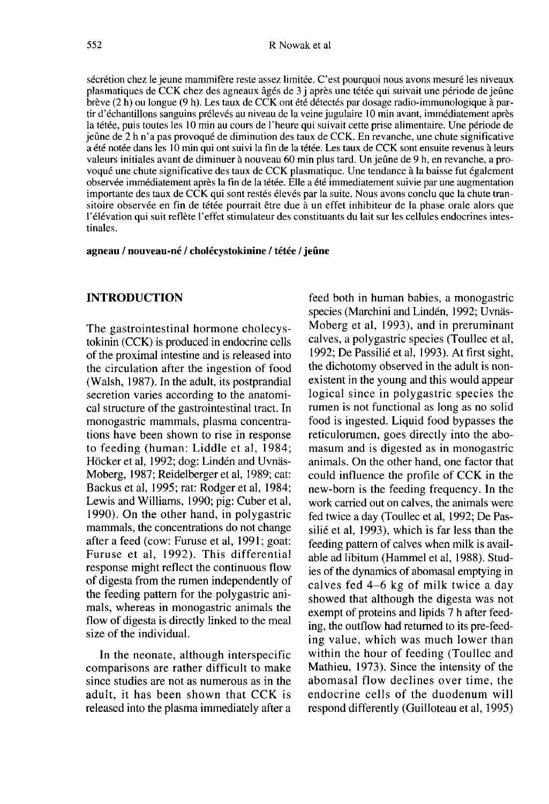sécrétion chez le jeune mammifère reste assez limitée. C'est pourquoi nous avons mesuré les niveaux plasmatiques de CCK chez des agneaux âgés de 3 j après une tétée qui suivait une période de jeûne brève (2 h) ou longue (9 h). Les taux de CCK ont été détectés par dosage radio-immunologique à partir d'échantillons sanguins prélevés au niveau de la veine jugulaire 10 min avant, immédiatement après la tétée, puis toutes les 10 min au cours de l'heure qui suivait cette prise alimentaire. Une période de jeûne<br>jeûne de 2 h n'a pas provoqué de diminution des taux de CCK. En revanche, une chute significative a été notée dans les 10 min qui ont suivi la fin de la tétée. Les taux de CCK sont ensuite revenus à leurs valeurs initiales avant de diminuer à nouveau 60 min plus tard. Un jeûne de 9 h, en revanche, a provoqué une chute significative des taux de CCK plasmatique. Une tendance à la baisse fut également observée immédiatement après la fin de la tétée. Elle a été immediatement suivie par une augmentation importante des taux de CCK qui sont restés élevés par la suite. Nous avons conclu que la chute transitoire observée en fin de tétée pourrait être due à un effet inhibiteur de la phase orale alors que l'élévation qui suit reflète l'effet stimulateur des constituants du lait sur les cellules endocrines intestinales.

#### agneau / nouveau-né / cholécystokinine / tétée / jeûne

# INTRODUCTION

The gastrointestinal hormone cholecystokinin (CCK) is produced in endocrine cells of the proximal intestine and is released into the circulation after the ingestion of food (Walsh, 1987). In the adult, its postprandial secretion varies according to the anatomical structure of the gastrointestinal tract. In monogastric mammals, plasma concentrations have been shown to rise in response to feeding (human: Liddle et al, 1984; Höcker et al, 1992; dog: Lindén and Uvnäs-Moberg, 1987; Reidelberger et a], 1989; cat: Backus et al, 1995; rat: Rodger et al, 1984; Lewis and Williams, 1990; pig: Cuber et al, 1990). On the other hand, in polygastric mammals, the concentrations do not change after a feed (cow: Furuse et al, 1991; goat: Furuse et al, 1992). This differential response might reflect the continuous flow of digesta from the rumen independently of the feeding pattern for the polygastric animals, whereas in monogastric animals the flow of digesta is directly linked to the meal size of the individual.

In the neonate, although interspecific comparisons are rather difficult to make since studies are not as numerous as in the adult, it has been shown that CCK is released into the plasma immediately after a

feed both in human babies, a monogastric species (Marchini and Lindén, 1992; Uvnäs-Moberg et al, 1993), and in preruminant calves, a polygastric species (Toullec et al, 1992; De Passilié et al, 1993). At first sight, the dichotomy observed in the adult is nonexistent in the young and this would appear logical since in polygastric species the rumen is not functional as long as no solid food is ingested. Liquid food bypasses the reticulorumen, goes directly into the abomasum and is digested as in monogastric animals. On the other hand, one factor that could influence the profile of CCK in the new-born is the feeding frequency. In the work carried out on calves, the animals were fed twice a day (Toullec et al, 1992; De Passilié et al, 1993), which is far less than the feeding pattern of calves when milk is available ad libitum (Hammel et al, 1988). Studies of the dynamics of abomasal emptying in calves fed 4-6 kg of milk twice a day showed that although the digesta was not exempt of proteins and lipids 7 h after feeding, the outflow had returned to its pre-feeding value, which was much lower than within the hour of feeding (Toullec and Mathieu, 1973). Since the intensity of the abomasal flow declines over time, the endocrine cells of the duodenum will respond differently (Guilloteau et al, 1995)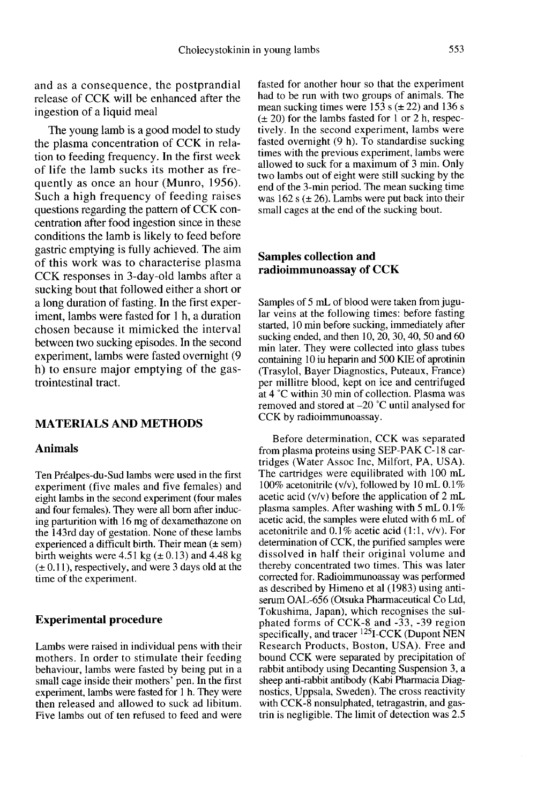and as a consequence, the postprandial release of CCK will be enhanced after the ingestion of a liquid meal

The young lamb is a good model to study the plasma concentration of CCK in relation to feeding frequency. In the first week of life the lamb sucks its mother as frequently as once an hour (Munro, 1956). Such a high frequency of feeding raises questions regarding the pattern of CCK concentration after food ingestion since in these conditions the lamb is likely to feed before gastric emptying is fully achieved. The aim of this work was to characterise plasma CCK responses in 3-day-old lambs after a sucking bout that followed either a short or a long duration of fasting. In the first experiment, lambs were fasted for 1 h, a duration chosen because it mimicked the interval between two sucking episodes. In the second experiment, lambs were fasted overnight (9 h) to ensure major emptying of the gastrointestinal tract.

## MATERIALS AND METHODS

#### Animals

Ten Préalpes-du-Sud lambs were used in the first experiment (five males and five females) and eight lambs in the second experiment (four males and four females). They were all born after inducing parturition with 16 mg of dexamethazone on the 143rd day of gestation. None of these lambs experienced a difficult birth. Their mean  $(\pm \text{ sem})$ birth weights were 4.51 kg  $(\pm 0.13)$  and 4.48 kg  $(\pm 0.11)$ , respectively, and were 3 days old at the time of the experiment.

#### Experimental procedure

Lambs were raised in individual pens with their mothers. In order to stimulate their feeding behaviour, lambs were fasted by being put in a small cage inside their mothers' pen. In the first experiment, lambs were fasted for 1 h. They were then released and allowed to suck ad libitum. Five lambs out of ten refused to feed and were fasted for another hour so that the experiment had to be run with two groups of animals. The mean sucking times were  $15\overline{3}$  s ( $\pm$  22) and 136 s  $(\pm 20)$  for the lambs fasted for 1 or 2 h, respectively. In the second experiment, lambs were fasted overnight (9 h). To standardise sucking times with the previous experiment, lambs were allowed to suck for a maximum of 3 min. Only two lambs out of eight were still sucking by the end of the 3-min period. The mean sucking time was  $162$  s ( $\pm$  26). Lambs were put back into their small cages at the end of the sucking bout.

# Samples collection and radioimmunoassay of CCK

Samples of 5 mL of blood were taken from jugular veins at the following times: before fasting started, 10 min before sucking, immediately after sucking ended, and then 10, 20, 30, 40, 50 and 60 min later. They were collected into glass tubes containing 10 iu heparin and 500 KIE of aprotinin (Trasylol, Bayer Diagnostics, Puteaux, France) at 4 °C within 30 min of collection. Plasma was removed and stored at -20 °C until analysed for CCK by radioimmunoassay.

Before determination, CCK was separated from plasma proteins using SEP-PAK C-18 cartridges (Water Assoc Inc, Milfort, PA, USA). The cartridges were equilibrated with 100 mL 100% acetonitrile (v/v), followed by 10 mL  $0.1\%$ acetic acid (v/v) before the application of 2 mL plasma samples. After washing with 5 mL 0.1 % acetic acid, the samples were eluted with 6 mL of acetonitrile and 0.1% acetic acid (1:1, v/v). For determination of CCK, the purified samples were dissolved in half their original volume and thereby concentrated two times. This was later corrected for. Radioimmunoassay was performed as described by Himeno et al (1983) using antiserum OAL-656 (Otsuka Pharmaceutical Co Ltd, Tokushima, Japan), which recognises the sulphated forms of CCK-8 and -33, -39 region<br>specifically, and tracer <sup>125</sup>I-CCK (Dupont NEN Research Products, Boston, USA). Free and bound CCK were separated by precipitation of rabbit antibody using Decanting Suspension 3, a sheep anti-rabbit antibody (Kabi Pharmacia Diagnostics, Uppsala, Sweden). The cross reactivity with CCK-8 nonsulphated, tetragastrin, and gastrin is negligible. The limit of detection was 2.5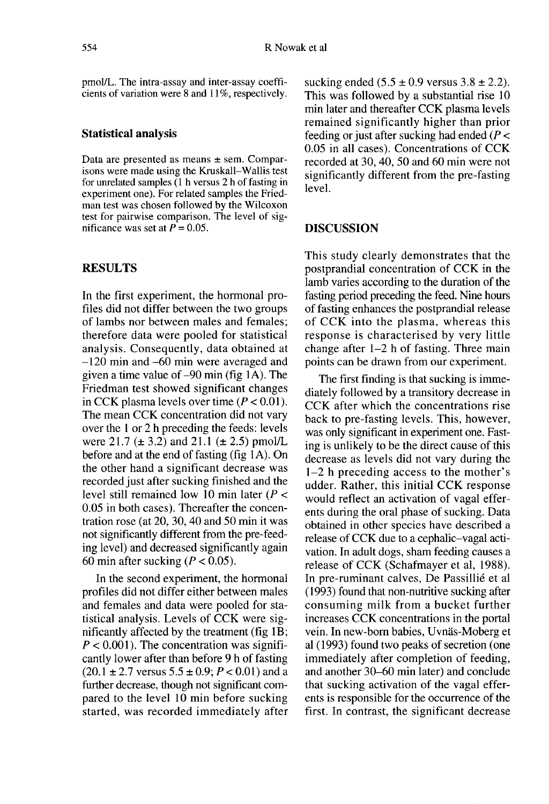pmol/L. The intra-assay and inter-assay coefficients of variation were 8 and 11%, respectively.

#### Statistical analysis

Data are presented as means  $\pm$  sem. Comparisons were made using the Kruskall-Wallis test for unrelated samples  $(1 h$  versus 2 h of fasting in experiment one). For related samples the Friedman test was chosen followed by the Wilcoxon test for pairwise comparison. The level of significance was set at  $\vec{P} = 0.05$ .

# **RESULTS**

In the first experiment, the hormonal profiles did not differ between the two groups of lambs nor between males and females; therefore data were pooled for statistical analysis. Consequently, data obtained at  $-120$  min and  $-60$  min were averaged and given a time value of  $-90$  min (fig 1A). The Friedman test showed significant changes in CCK plasma levels over time  $(P < 0.01)$ . The mean CCK concentration did not vary over the 1 or 2 h preceding the feeds: levels were 21.7 ( $\pm$  3.2) and 21.1 ( $\pm$  2.5) pmol/L before and at the end of fasting (fig 1A). On the other hand a significant decrease was recorded just after sucking finished and the level still remained low 10 min later ( $P <$ 0.05 in both cases). Thereafter the concentration rose (at 20, 30, 40 and 50 min it was not significantly different from the pre-feeding level) and decreased significantly again 60 min after sucking ( $P < 0.05$ ).

In the second experiment, the hormonal profiles did not differ either between males and females and data were pooled for statistical analysis. Levels of CCK were significantly affected by the treatment (fig 1B;  $P < 0.001$ ). The concentration was significantly lower after than before 9 h of fasting  $(20.1 \pm 2.7 \text{ versus } 5.5 \pm 0.9; P < 0.01)$  and a further decrease, though not significant compared to the level 10 min before sucking started, was recorded immediately after sucking ended  $(5.5 \pm 0.9 \text{ versus } 3.8 \pm 2.2)$ . This was followed by a substantial rise 10 min later and thereafter CCK plasma levels remained significantly higher than prior feeding or just after sucking had ended ( $P <$ 0.05 in all cases). Concentrations of CCK recorded at 30, 40, 50 and 60 min were not significantly different from the pre-fasting level.

#### DISCUSSION

This study clearly demonstrates that the postprandial concentration of CCK in the lamb varies according to the duration of the fasting period preceding the feed. Nine hours of fasting enhances the postprandial release of CCK into the plasma, whereas this response is characterised by very little change after 1-2 h of fasting. Three main points can be drawn from our experiment.

The first finding is that sucking is immediately followed by a transitory decrease in CCK after which the concentrations rise back to pre-fasting levels. This, however, was only significant in experiment one. Fasting is unlikely to be the direct cause of this decrease as levels did not vary during the  $1-2$  h preceding access to the mother's udder. Rather, this initial CCK response would reflect an activation of vagal efferents during the oral phase of sucking. Data obtained in other species have described a release of CCK due to a cephalic-vagal activation. In adult dogs, sham feeding causes a release of CCK (Schafmayer et al, 1988). In pre-ruminant calves, De Passillié et al (1993) found that non-nutritive sucking after consuming milk from a bucket further increases CCK concentrations in the portal vein. In new-born babies, Uvnäs-Moberg et al (1993) found two peaks of secretion (one immediately after completion of feeding, and another 30-60 min later) and conclude that sucking activation of the vagal efferents is responsible for the occurrence of the first. In contrast, the significant decrease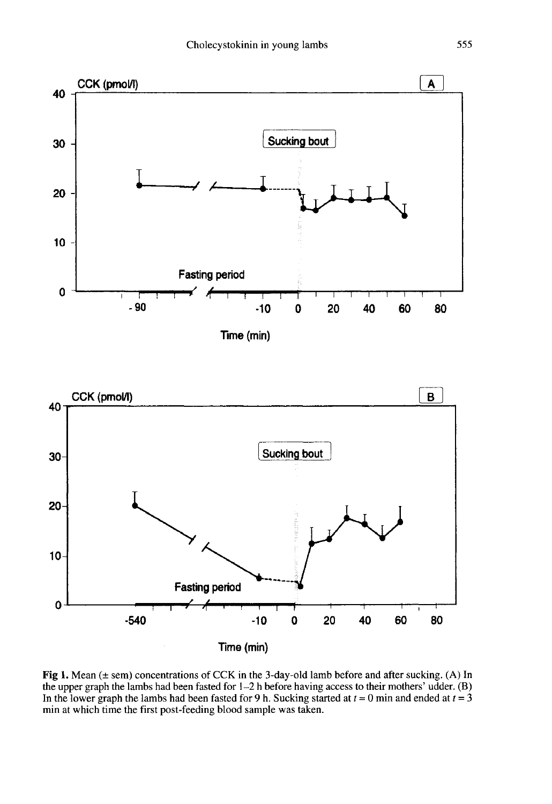

Fig 1. Mean  $(\pm$  sem) concentrations of CCK in the 3-day-old lamb before and after sucking. (A) In the upper graph the lambs had been fasted for  $1-2$  h before having access to their mothers' udder. (B) In the lower graph the lambs had been fasted for 9 h. Sucking started at  $t = 0$  min and ended at  $t = 3$ min at which time the first post-feeding blood sample was taken.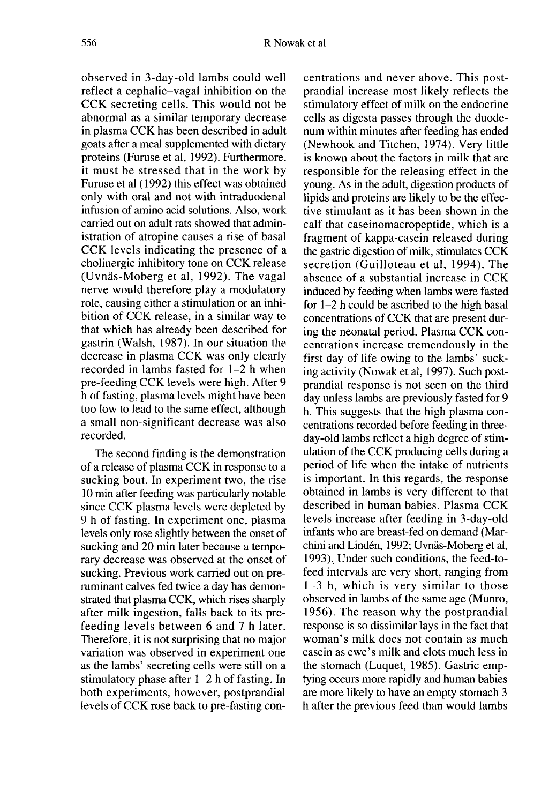observed in 3-day-old lambs could well reflect a cephalic-vagal inhibition on the CCK secreting cells. This would not be abnormal as a similar temporary decrease in plasma CCK has been described in adult goats after a meal supplemented with dietary proteins (Furuse et al, 1992). Furthermore, it must be stressed that in the work by Furuse et al (1992) this effect was obtained only with oral and not with intraduodenal infusion of amino acid solutions. Also, work carried out on adult rats showed that administration of atropine causes a rise of basal CCK levels indicating the presence of a cholinergic inhibitory tone on CCK release (Uvnds-Moberg et al, 1992). The vagal nerve would therefore play a modulatory role, causing either a stimulation or an inhibition of CCK release, in a similar way to that which has already been described for gastrin (Walsh, 1987). In our situation the decrease in plasma CCK was only clearly recorded in lambs fasted for 1-2 h when pre-feeding CCK levels were high. After 9 h of fasting, plasma levels might have been too low to lead to the same effect, although a small non-significant decrease was also recorded.

The second finding is the demonstration of a release of plasma CCK in response to a sucking bout. In experiment two, the rise 10 min after feeding was particularly notable since CCK plasma levels were depleted by 9 h of fasting. In experiment one, plasma levels only rose slightly between the onset of sucking and 20 min later because a temporary decrease was observed at the onset of sucking. Previous work carried out on preruminant calves fed twice a day has demonstrated that plasma CCK, which rises sharply after milk ingestion, falls back to its prefeeding levels between 6 and 7 h later. Therefore, it is not surprising that no major variation was observed in experiment one as the lambs' secreting cells were still on a stimulatory phase after 1-2 h of fasting. In both experiments, however, postprandial levels of CCK rose back to pre-fasting concentrations and never above. This postprandial increase most likely reflects the stimulatory effect of milk on the endocrine cells as digesta passes through the duodenum within minutes after feeding has ended (Newhook and Titchen, 1974). Very little is known about the factors in milk that are responsible for the releasing effect in the young. As in the adult, digestion products of lipids and proteins are likely to be the effective stimulant as it has been shown in the calf that caseinomacropeptide, which is a fragment of kappa-casein released during the gastric digestion of milk, stimulates CCK secretion (Guilloteau et al, 1994). The absence of a substantial increase in CCK induced by feeding when lambs were fasted for 1-2 h could be ascribed to the high basal concentrations of CCK that are present during the neonatal period. Plasma CCK concentrations increase tremendously in the first day of life owing to the lambs' sucking activity (Nowak et al, 1997). Such postprandial response is not seen on the third day unless lambs are previously fasted for 9 h. This suggests that the high plasma concentrations recorded before feeding in threeday-old lambs reflect a high degree of stimulation of the CCK producing cells during a period of life when the intake of nutrients is important. In this regards, the response obtained in lambs is very different to that described in human babies. Plasma CCK levels increase after feeding in 3-day-old infants who are breast-fed on demand (Marchini and Lindén, 1992; Uvnäs-Moberg et al, 1993). Under such conditions, the feed-tofeed intervals are very short, ranging from 1-3 h, which is very similar to those observed in lambs of the same age (Munro, 1956). The reason why the postprandial response is so dissimilar lays in the fact that woman's milk does not contain as much casein as ewe's milk and clots much less in the stomach (Luquet, 1985). Gastric emptying occurs more rapidly and human babies are more likely to have an empty stomach 3 h after the previous feed than would lambs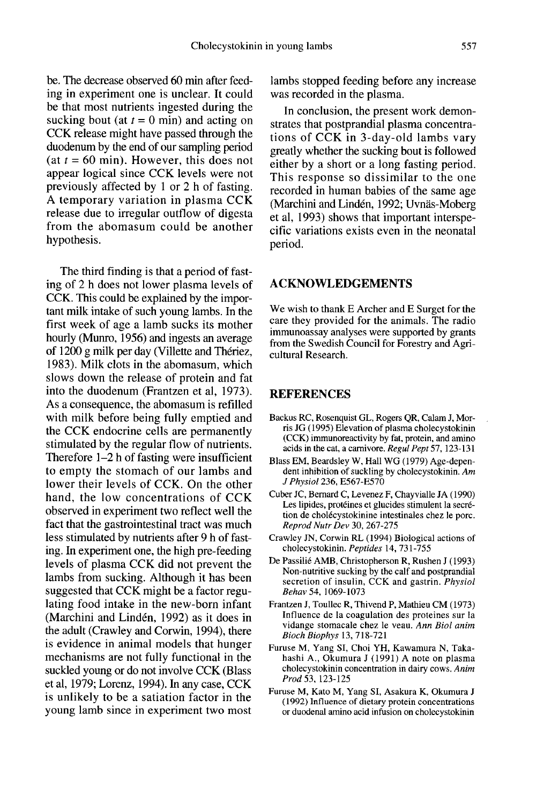be. The decrease observed 60 min after feeding in experiment one is unclear. It could be that most nutrients ingested during the sucking bout (at  $t = 0$  min) and acting on CCK release might have passed through the duodenum by the end of our sampling period (at  $t = 60$  min). However, this does not appear logical since CCK levels were not previously affected by 1 or 2 h of fasting. A temporary variation in plasma CCK release due to irregular outflow of digesta from the abomasum could be another hypothesis.

The third finding is that a period of fasting of 2 h does not lower plasma levels of CCK. This could be explained by the impor tant milk intake of such young lambs. In the first week of age a lamb sucks its mother hourly (Munro, 1956) and ingests an average of 1200 g milk per day (Villette and Thériez, 1983). Milk clots in the abomasum, which slows down the release of protein and fat into the duodenum (Frantzen et al, 1973). As a consequence, the abomasum is refilled with milk before being fully emptied and the CCK endocrine cells are permanently stimulated by the regular flow of nutrients. Therefore 1-2 h of fasting were insufficient to empty the stomach of our lambs and lower their levels of CCK. On the other hand, the low concentrations of CCK observed in experiment two reflect well the fact that the gastrointestinal tract was much less stimulated by nutrients after 9 h of fasting. In experiment one, the high pre-feeding levels of plasma CCK did not prevent the lambs from sucking. Although it has been suggested that CCK might be a factor regulating food intake in the new-born infant (Marchini and Linden, 1992) as it does in the adult (Crawley and Corwin, 1994), there is evidence in animal models that hunger mechanisms are not fully functional in the suckled young or do not involve CCK (Blass et al, 1979; Lorenz, 1994). In any case, CCK is unlikely to be a satiation factor in the young lamb since in experiment two most

lambs stopped feeding before any increase was recorded in the plasma.

In conclusion, the present work demonstrates that postprandial plasma concentrations of CCK in 3-day-old lambs vary greatly whether the sucking bout is followed either by a short or a long fasting period. This response so dissimilar to the one recorded in human babies of the same age (Marchini and Lindén, 1992; Uvnäs-Moberg et al, 1993) shows that important interspecific variations exists even in the neonatal period.

# ACKNOWLEDGEMENTS

We wish to thank E Archer and E Surget for the care they provided for the animals. The radio immunoassay analyses were supported by grants from the Swedish Council for Forestry and Agricultural Research.

# REFERENCES

- Backus RC, Rosenquist GL, Rogers QR, Calam J, Morris JG (1995) Elevation of plasma cholecystokinin (CCK) immunoreactivity by fat, protein, and amino acids in the cat, a carnivore. Regul Pept 57, 123-131
- Blass EM, Beardsley W, Hall WG (1979) Age-depen- dent inhibition of suckling by cholecystokinin. Am J Physiol 236, E567-E570
- Cuber JC, Bernard C, Levenez F, Chayvialle JA (1990) Les lipides, protéines et glucides stimulent la secrétion de cholécystokinine intestinales chez le porc. Reprod Nutr Dev 30, 267-275
- Crawley JN, Corwin RL (1994) Biological actions of cholecystokinin. Peptides 14, 731-755
- De Passilié AMB, Christopherson R, Rushen J (1993) Non-nutritive sucking by the calf and postprandial secretion of insulin, CCK and gastrin. Physiol Behav 54, 1069-1073
- Frantzen J, Toullec R, Thivend P, Mathieu CM (1973) Influence de la coagulation des proteines sur la vidange stomacale chez le veau. Ann Biol anim Bioch Biophys 13, 718-721
- Furuse M, Yang SI, Choi YH, Kawamura N, Takahashi A., Okumura J (1991) A note on plasma cholecystokinin concentration in dairy cows. Anim Prod 53, 123-125
- Furuse M, Kato M, Yang SI, Asakura K, Okumura J (1992) Influence of dietary protein concentrations or duodenal amino acid infusion on cholecystokinin